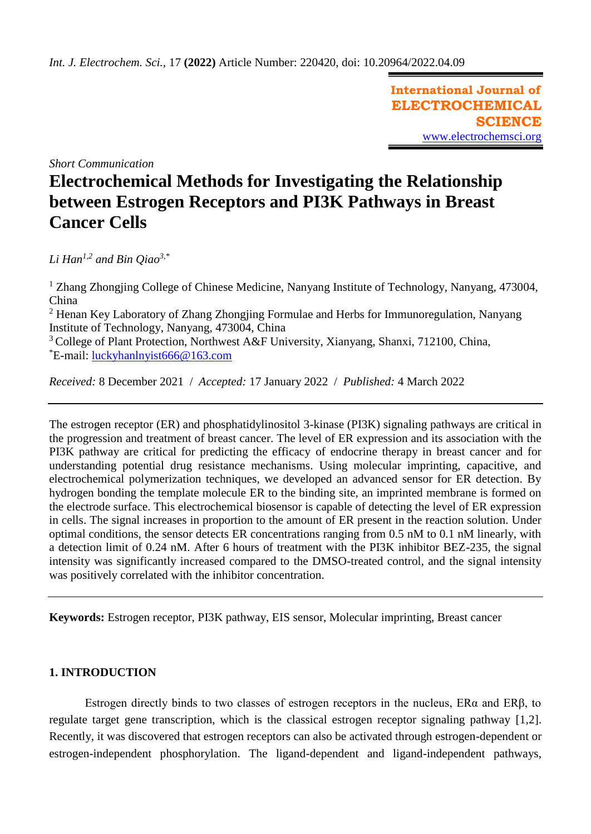**International Journal of ELECTROCHEMICAL SCIENCE** [www.electrochemsci.org](http://www.electrochemsci.org/)

*Short Communication*

# **Electrochemical Methods for Investigating the Relationship between Estrogen Receptors and PI3K Pathways in Breast Cancer Cells**

*Li Han1,2 and Bin Qiao3,\**

<sup>1</sup> Zhang Zhongjing College of Chinese Medicine, Nanyang Institute of Technology, Nanyang, 473004, China

<sup>2</sup> Henan Key Laboratory of Zhang Zhongjing Formulae and Herbs for Immunoregulation, Nanyang Institute of Technology, Nanyang, 473004, China

 $3^3$  College of Plant Protection, Northwest A&F University, Xianyang, Shanxi, 712100, China, \*E-mail: [luckyhanlnyist666@163.com](mailto:luckyhanlnyist666@163.com)

*Received:* 8 December 2021/ *Accepted:* 17 January 2022 / *Published:* 4 March 2022

The estrogen receptor (ER) and phosphatidylinositol 3-kinase (PI3K) signaling pathways are critical in the progression and treatment of breast cancer. The level of ER expression and its association with the PI3K pathway are critical for predicting the efficacy of endocrine therapy in breast cancer and for understanding potential drug resistance mechanisms. Using molecular imprinting, capacitive, and electrochemical polymerization techniques, we developed an advanced sensor for ER detection. By hydrogen bonding the template molecule ER to the binding site, an imprinted membrane is formed on the electrode surface. This electrochemical biosensor is capable of detecting the level of ER expression in cells. The signal increases in proportion to the amount of ER present in the reaction solution. Under optimal conditions, the sensor detects ER concentrations ranging from 0.5 nM to 0.1 nM linearly, with a detection limit of 0.24 nM. After 6 hours of treatment with the PI3K inhibitor BEZ-235, the signal intensity was significantly increased compared to the DMSO-treated control, and the signal intensity was positively correlated with the inhibitor concentration.

**Keywords:** Estrogen receptor, PI3K pathway, EIS sensor, Molecular imprinting, Breast cancer

# **1. INTRODUCTION**

Estrogen directly binds to two classes of estrogen receptors in the nucleus, ERα and ERβ, to regulate target gene transcription, which is the classical estrogen receptor signaling pathway [1,2]. Recently, it was discovered that estrogen receptors can also be activated through estrogen-dependent or estrogen-independent phosphorylation. The ligand-dependent and ligand-independent pathways,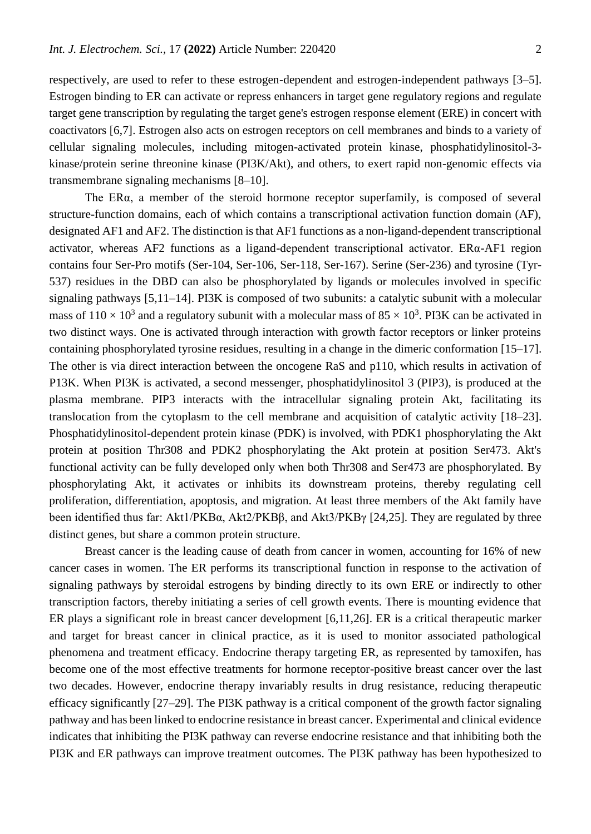respectively, are used to refer to these estrogen-dependent and estrogen-independent pathways [3–5]. Estrogen binding to ER can activate or repress enhancers in target gene regulatory regions and regulate target gene transcription by regulating the target gene's estrogen response element (ERE) in concert with coactivators [6,7]. Estrogen also acts on estrogen receptors on cell membranes and binds to a variety of cellular signaling molecules, including mitogen-activated protein kinase, phosphatidylinositol-3 kinase/protein serine threonine kinase (PI3K/Akt), and others, to exert rapid non-genomic effects via transmembrane signaling mechanisms [8–10].

The ERα, a member of the steroid hormone receptor superfamily, is composed of several structure-function domains, each of which contains a transcriptional activation function domain (AF), designated AF1 and AF2. The distinction is that AF1 functions as a non-ligand-dependent transcriptional activator, whereas AF2 functions as a ligand-dependent transcriptional activator. ERα-AF1 region contains four Ser-Pro motifs (Ser-104, Ser-106, Ser-118, Ser-167). Serine (Ser-236) and tyrosine (Tyr-537) residues in the DBD can also be phosphorylated by ligands or molecules involved in specific signaling pathways [5,11–14]. PI3K is composed of two subunits: a catalytic subunit with a molecular mass of  $110 \times 10^3$  and a regulatory subunit with a molecular mass of 85  $\times 10^3$ . PI3K can be activated in two distinct ways. One is activated through interaction with growth factor receptors or linker proteins containing phosphorylated tyrosine residues, resulting in a change in the dimeric conformation [15–17]. The other is via direct interaction between the oncogene RaS and p110, which results in activation of P13K. When PI3K is activated, a second messenger, phosphatidylinositol 3 (PIP3), is produced at the plasma membrane. PIP3 interacts with the intracellular signaling protein Akt, facilitating its translocation from the cytoplasm to the cell membrane and acquisition of catalytic activity [18–23]. Phosphatidylinositol-dependent protein kinase (PDK) is involved, with PDK1 phosphorylating the Akt protein at position Thr308 and PDK2 phosphorylating the Akt protein at position Ser473. Akt's functional activity can be fully developed only when both Thr308 and Ser473 are phosphorylated. By phosphorylating Akt, it activates or inhibits its downstream proteins, thereby regulating cell proliferation, differentiation, apoptosis, and migration. At least three members of the Akt family have been identified thus far: Akt1/PKBα, Akt2/PKBβ, and Akt3/PKBγ [24,25]. They are regulated by three distinct genes, but share a common protein structure.

Breast cancer is the leading cause of death from cancer in women, accounting for 16% of new cancer cases in women. The ER performs its transcriptional function in response to the activation of signaling pathways by steroidal estrogens by binding directly to its own ERE or indirectly to other transcription factors, thereby initiating a series of cell growth events. There is mounting evidence that ER plays a significant role in breast cancer development [6,11,26]. ER is a critical therapeutic marker and target for breast cancer in clinical practice, as it is used to monitor associated pathological phenomena and treatment efficacy. Endocrine therapy targeting ER, as represented by tamoxifen, has become one of the most effective treatments for hormone receptor-positive breast cancer over the last two decades. However, endocrine therapy invariably results in drug resistance, reducing therapeutic efficacy significantly [27–29]. The PI3K pathway is a critical component of the growth factor signaling pathway and has been linked to endocrine resistance in breast cancer. Experimental and clinical evidence indicates that inhibiting the PI3K pathway can reverse endocrine resistance and that inhibiting both the PI3K and ER pathways can improve treatment outcomes. The PI3K pathway has been hypothesized to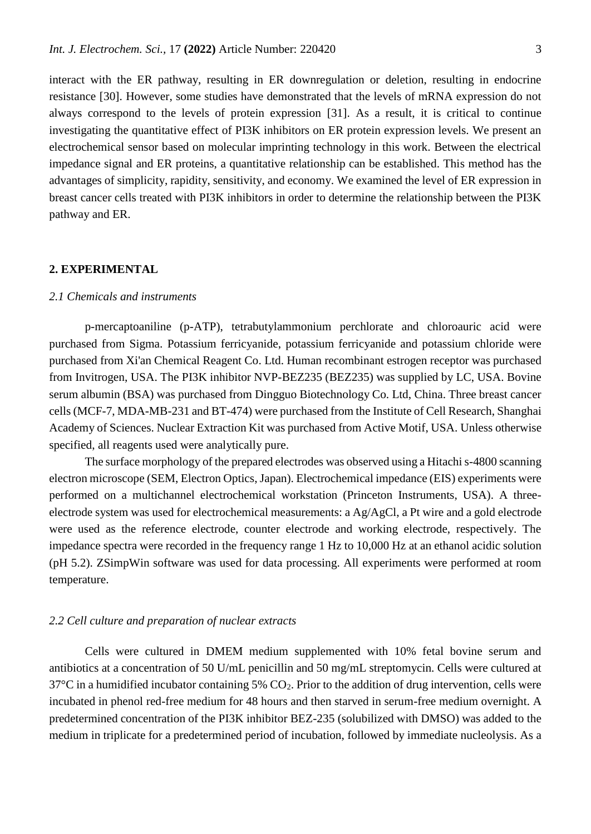interact with the ER pathway, resulting in ER downregulation or deletion, resulting in endocrine resistance [30]. However, some studies have demonstrated that the levels of mRNA expression do not always correspond to the levels of protein expression [31]. As a result, it is critical to continue investigating the quantitative effect of PI3K inhibitors on ER protein expression levels. We present an electrochemical sensor based on molecular imprinting technology in this work. Between the electrical impedance signal and ER proteins, a quantitative relationship can be established. This method has the advantages of simplicity, rapidity, sensitivity, and economy. We examined the level of ER expression in breast cancer cells treated with PI3K inhibitors in order to determine the relationship between the PI3K pathway and ER.

#### **2. EXPERIMENTAL**

#### *2.1 Chemicals and instruments*

p-mercaptoaniline (p-ATP), tetrabutylammonium perchlorate and chloroauric acid were purchased from Sigma. Potassium ferricyanide, potassium ferricyanide and potassium chloride were purchased from Xi'an Chemical Reagent Co. Ltd. Human recombinant estrogen receptor was purchased from Invitrogen, USA. The PI3K inhibitor NVP-BEZ235 (BEZ235) was supplied by LC, USA. Bovine serum albumin (BSA) was purchased from Dingguo Biotechnology Co. Ltd, China. Three breast cancer cells (MCF-7, MDA-MB-231 and BT-474) were purchased from the Institute of Cell Research, Shanghai Academy of Sciences. Nuclear Extraction Kit was purchased from Active Motif, USA. Unless otherwise specified, all reagents used were analytically pure.

The surface morphology of the prepared electrodes was observed using a Hitachi s-4800 scanning electron microscope (SEM, Electron Optics, Japan). Electrochemical impedance (EIS) experiments were performed on a multichannel electrochemical workstation (Princeton Instruments, USA). A threeelectrode system was used for electrochemical measurements: a Ag/AgCl, a Pt wire and a gold electrode were used as the reference electrode, counter electrode and working electrode, respectively. The impedance spectra were recorded in the frequency range 1 Hz to 10,000 Hz at an ethanol acidic solution (pH 5.2). ZSimpWin software was used for data processing. All experiments were performed at room temperature.

#### *2.2 Cell culture and preparation of nuclear extracts*

Cells were cultured in DMEM medium supplemented with 10% fetal bovine serum and antibiotics at a concentration of 50 U/mL penicillin and 50 mg/mL streptomycin. Cells were cultured at  $37^{\circ}$ C in a humidified incubator containing 5% CO<sub>2</sub>. Prior to the addition of drug intervention, cells were incubated in phenol red-free medium for 48 hours and then starved in serum-free medium overnight. A predetermined concentration of the PI3K inhibitor BEZ-235 (solubilized with DMSO) was added to the medium in triplicate for a predetermined period of incubation, followed by immediate nucleolysis. As a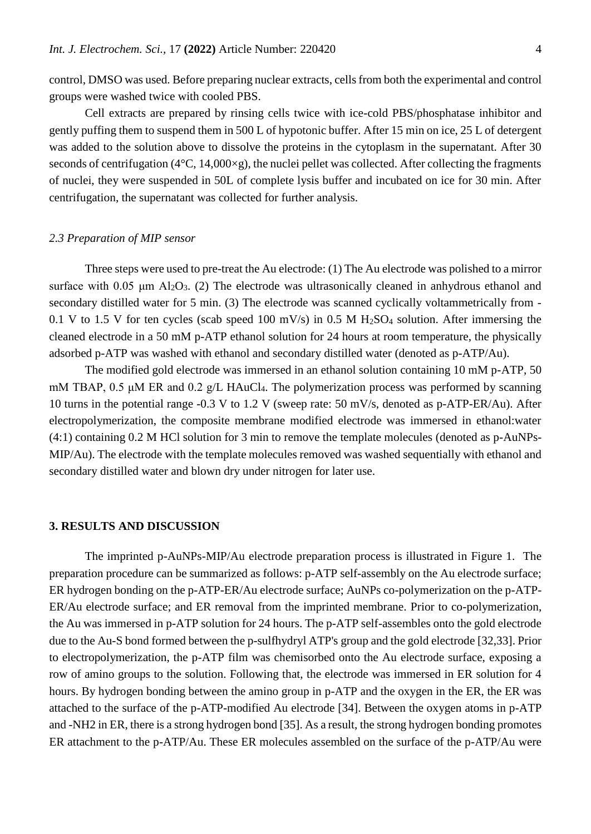control, DMSO was used. Before preparing nuclear extracts, cells from both the experimental and control groups were washed twice with cooled PBS.

Cell extracts are prepared by rinsing cells twice with ice-cold PBS/phosphatase inhibitor and gently puffing them to suspend them in 500 L of hypotonic buffer. After 15 min on ice, 25 L of detergent was added to the solution above to dissolve the proteins in the cytoplasm in the supernatant. After 30 seconds of centrifugation ( $4^{\circ}$ C, 14,000 $\times$ g), the nuclei pellet was collected. After collecting the fragments of nuclei, they were suspended in 50L of complete lysis buffer and incubated on ice for 30 min. After centrifugation, the supernatant was collected for further analysis.

#### *2.3 Preparation of MIP sensor*

Three steps were used to pre-treat the Au electrode: (1) The Au electrode was polished to a mirror surface with 0.05  $\mu$ m Al<sub>2</sub>O<sub>3</sub>. (2) The electrode was ultrasonically cleaned in anhydrous ethanol and secondary distilled water for 5 min. (3) The electrode was scanned cyclically voltammetrically from - 0.1 V to 1.5 V for ten cycles (scab speed 100 mV/s) in 0.5 M  $H<sub>2</sub>SO<sub>4</sub>$  solution. After immersing the cleaned electrode in a 50 mM p-ATP ethanol solution for 24 hours at room temperature, the physically adsorbed p-ATP was washed with ethanol and secondary distilled water (denoted as p-ATP/Au).

The modified gold electrode was immersed in an ethanol solution containing 10 mM p-ATP, 50 mM TBAP, 0.5 μM ER and 0.2 g/L HAuCl<sub>4</sub>. The polymerization process was performed by scanning 10 turns in the potential range -0.3 V to 1.2 V (sweep rate: 50 mV/s, denoted as p-ATP-ER/Au). After electropolymerization, the composite membrane modified electrode was immersed in ethanol:water (4:1) containing 0.2 M HCl solution for 3 min to remove the template molecules (denoted as p-AuNPs-MIP/Au). The electrode with the template molecules removed was washed sequentially with ethanol and secondary distilled water and blown dry under nitrogen for later use.

### **3. RESULTS AND DISCUSSION**

The imprinted p-AuNPs-MIP/Au electrode preparation process is illustrated in Figure 1. The preparation procedure can be summarized as follows: p-ATP self-assembly on the Au electrode surface; ER hydrogen bonding on the p-ATP-ER/Au electrode surface; AuNPs co-polymerization on the p-ATP-ER/Au electrode surface; and ER removal from the imprinted membrane. Prior to co-polymerization, the Au was immersed in p-ATP solution for 24 hours. The p-ATP self-assembles onto the gold electrode due to the Au-S bond formed between the p-sulfhydryl ATP's group and the gold electrode [32,33]. Prior to electropolymerization, the p-ATP film was chemisorbed onto the Au electrode surface, exposing a row of amino groups to the solution. Following that, the electrode was immersed in ER solution for 4 hours. By hydrogen bonding between the amino group in p-ATP and the oxygen in the ER, the ER was attached to the surface of the p-ATP-modified Au electrode [34]. Between the oxygen atoms in p-ATP and -NH2 in ER, there is a strong hydrogen bond [35]. As a result, the strong hydrogen bonding promotes ER attachment to the p-ATP/Au. These ER molecules assembled on the surface of the p-ATP/Au were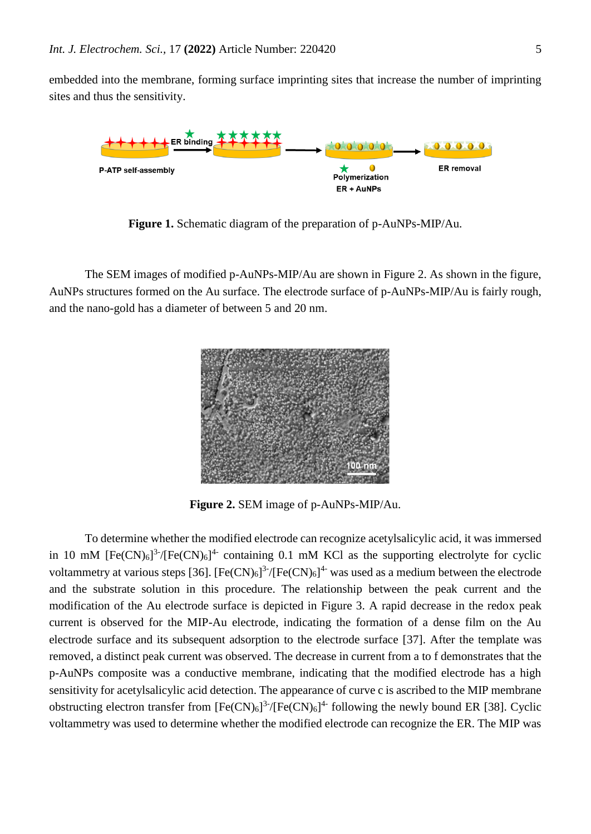embedded into the membrane, forming surface imprinting sites that increase the number of imprinting sites and thus the sensitivity.



**Figure 1.** Schematic diagram of the preparation of p-AuNPs-MIP/Au.

The SEM images of modified p-AuNPs-MIP/Au are shown in Figure 2. As shown in the figure, AuNPs structures formed on the Au surface. The electrode surface of p-AuNPs-MIP/Au is fairly rough, and the nano-gold has a diameter of between 5 and 20 nm.



**Figure 2.** SEM image of p-AuNPs-MIP/Au.

To determine whether the modified electrode can recognize acetylsalicylic acid, it was immersed in 10 mM  $[Fe(CN)_6]^3$ <sup>-</sup>/ $[Fe(CN)_6]^4$ - containing 0.1 mM KCl as the supporting electrolyte for cyclic voltammetry at various steps [36]. [Fe(CN)<sub>6</sub>]<sup>3-</sup>/[Fe(CN)<sub>6</sub>]<sup>4-</sup> was used as a medium between the electrode and the substrate solution in this procedure. The relationship between the peak current and the modification of the Au electrode surface is depicted in Figure 3. A rapid decrease in the redox peak current is observed for the MIP-Au electrode, indicating the formation of a dense film on the Au electrode surface and its subsequent adsorption to the electrode surface [37]. After the template was removed, a distinct peak current was observed. The decrease in current from a to f demonstrates that the p-AuNPs composite was a conductive membrane, indicating that the modified electrode has a high sensitivity for acetylsalicylic acid detection. The appearance of curve c is ascribed to the MIP membrane obstructing electron transfer from  $[Fe(CN)_6]^{3.7}$   $[Fe(CN)_6]^{4.}$  following the newly bound ER [38]. Cyclic voltammetry was used to determine whether the modified electrode can recognize the ER. The MIP was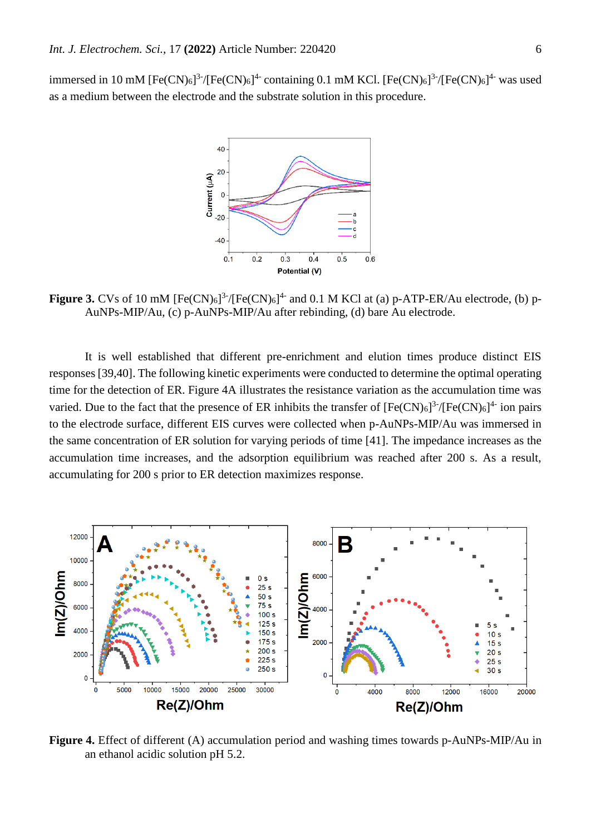immersed in 10 mM  $[Fe(CN)_6]^{3-}/[Fe(CN)_6]^{4-}$  containing 0.1 mM KCl.  $[Fe(CN)_6]^{3-}/[Fe(CN)_6]^{4-}$  was used as a medium between the electrode and the substrate solution in this procedure.



**Figure 3.** CVs of 10 mM  $[Fe(CN)_6]$ <sup>3-</sup>/ $[Fe(CN)_6]$ <sup>4-</sup> and 0.1 M KCl at (a) p-ATP-ER/Au electrode, (b) p-AuNPs-MIP/Au, (c) p-AuNPs-MIP/Au after rebinding, (d) bare Au electrode.

It is well established that different pre-enrichment and elution times produce distinct EIS responses [39,40]. The following kinetic experiments were conducted to determine the optimal operating time for the detection of ER. Figure 4A illustrates the resistance variation as the accumulation time was varied. Due to the fact that the presence of ER inhibits the transfer of  $[Fe(CN)_6]$ <sup>3-</sup>/ $[Fe(CN)_6]$ <sup>4-</sup> ion pairs to the electrode surface, different EIS curves were collected when p-AuNPs-MIP/Au was immersed in the same concentration of ER solution for varying periods of time [41]. The impedance increases as the accumulation time increases, and the adsorption equilibrium was reached after 200 s. As a result, accumulating for 200 s prior to ER detection maximizes response.

![](_page_5_Figure_5.jpeg)

**Figure 4.** Effect of different (A) accumulation period and washing times towards p-AuNPs-MIP/Au in an ethanol acidic solution pH 5.2.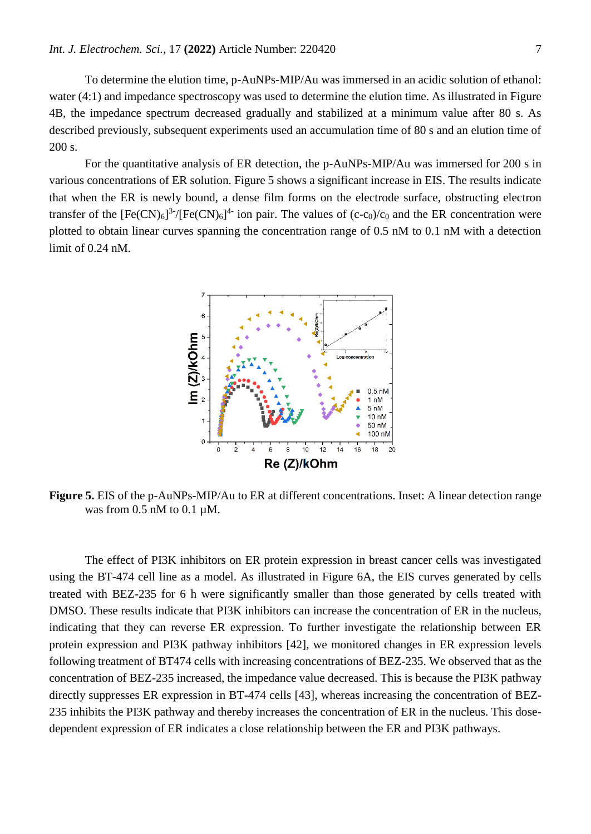To determine the elution time, p-AuNPs-MIP/Au was immersed in an acidic solution of ethanol: water (4:1) and impedance spectroscopy was used to determine the elution time. As illustrated in Figure 4B, the impedance spectrum decreased gradually and stabilized at a minimum value after 80 s. As described previously, subsequent experiments used an accumulation time of 80 s and an elution time of 200 s.

For the quantitative analysis of ER detection, the p-AuNPs-MIP/Au was immersed for 200 s in various concentrations of ER solution. Figure 5 shows a significant increase in EIS. The results indicate that when the ER is newly bound, a dense film forms on the electrode surface, obstructing electron transfer of the  $[Fe(CN)_6]^{3.7}$   $[Fe(CN)_6]^{4.7}$  ion pair. The values of (c-c<sub>0</sub>)/c<sub>0</sub> and the ER concentration were plotted to obtain linear curves spanning the concentration range of 0.5 nM to 0.1 nM with a detection limit of 0.24 nM.

![](_page_6_Figure_3.jpeg)

**Figure 5.** EIS of the p-AuNPs-MIP/Au to ER at different concentrations. Inset: A linear detection range was from  $0.5$  nM to  $0.1 \mu$ M.

The effect of PI3K inhibitors on ER protein expression in breast cancer cells was investigated using the BT-474 cell line as a model. As illustrated in Figure 6A, the EIS curves generated by cells treated with BEZ-235 for 6 h were significantly smaller than those generated by cells treated with DMSO. These results indicate that PI3K inhibitors can increase the concentration of ER in the nucleus, indicating that they can reverse ER expression. To further investigate the relationship between ER protein expression and PI3K pathway inhibitors [42], we monitored changes in ER expression levels following treatment of BT474 cells with increasing concentrations of BEZ-235. We observed that as the concentration of BEZ-235 increased, the impedance value decreased. This is because the PI3K pathway directly suppresses ER expression in BT-474 cells [43], whereas increasing the concentration of BEZ-235 inhibits the PI3K pathway and thereby increases the concentration of ER in the nucleus. This dosedependent expression of ER indicates a close relationship between the ER and PI3K pathways.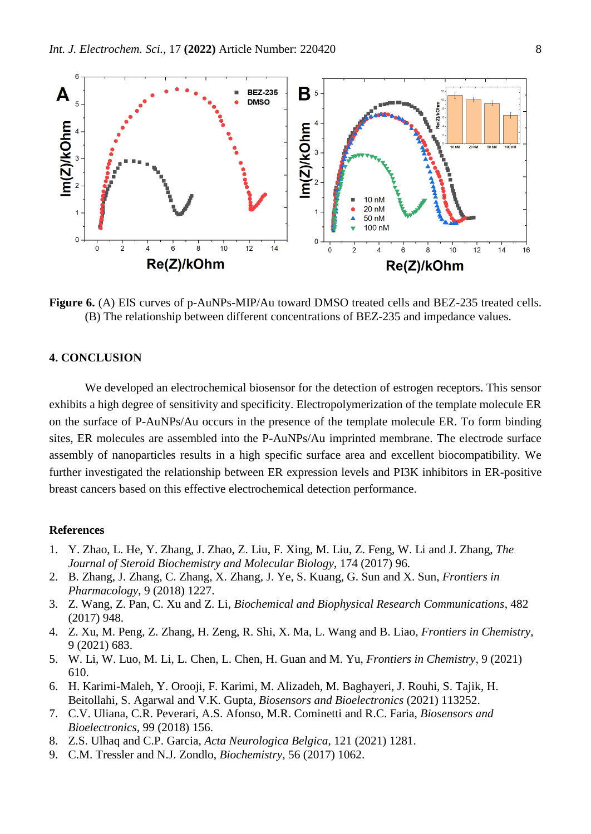![](_page_7_Figure_1.jpeg)

**Figure 6.** (A) EIS curves of p-AuNPs-MIP/Au toward DMSO treated cells and BEZ-235 treated cells. (B) The relationship between different concentrations of BEZ-235 and impedance values.

## **4. CONCLUSION**

We developed an electrochemical biosensor for the detection of estrogen receptors. This sensor exhibits a high degree of sensitivity and specificity. Electropolymerization of the template molecule ER on the surface of P-AuNPs/Au occurs in the presence of the template molecule ER. To form binding sites, ER molecules are assembled into the P-AuNPs/Au imprinted membrane. The electrode surface assembly of nanoparticles results in a high specific surface area and excellent biocompatibility. We further investigated the relationship between ER expression levels and PI3K inhibitors in ER-positive breast cancers based on this effective electrochemical detection performance.

#### **References**

- 1. Y. Zhao, L. He, Y. Zhang, J. Zhao, Z. Liu, F. Xing, M. Liu, Z. Feng, W. Li and J. Zhang, *The Journal of Steroid Biochemistry and Molecular Biology*, 174 (2017) 96.
- 2. B. Zhang, J. Zhang, C. Zhang, X. Zhang, J. Ye, S. Kuang, G. Sun and X. Sun, *Frontiers in Pharmacology*, 9 (2018) 1227.
- 3. Z. Wang, Z. Pan, C. Xu and Z. Li, *Biochemical and Biophysical Research Communications*, 482 (2017) 948.
- 4. Z. Xu, M. Peng, Z. Zhang, H. Zeng, R. Shi, X. Ma, L. Wang and B. Liao, *Frontiers in Chemistry*, 9 (2021) 683.
- 5. W. Li, W. Luo, M. Li, L. Chen, L. Chen, H. Guan and M. Yu, *Frontiers in Chemistry*, 9 (2021) 610.
- 6. H. Karimi-Maleh, Y. Orooji, F. Karimi, M. Alizadeh, M. Baghayeri, J. Rouhi, S. Tajik, H. Beitollahi, S. Agarwal and V.K. Gupta, *Biosensors and Bioelectronics* (2021) 113252.
- 7. C.V. Uliana, C.R. Peverari, A.S. Afonso, M.R. Cominetti and R.C. Faria, *Biosensors and Bioelectronics*, 99 (2018) 156.
- 8. Z.S. Ulhaq and C.P. Garcia, *Acta Neurologica Belgica*, 121 (2021) 1281.
- 9. C.M. Tressler and N.J. Zondlo, *Biochemistry*, 56 (2017) 1062.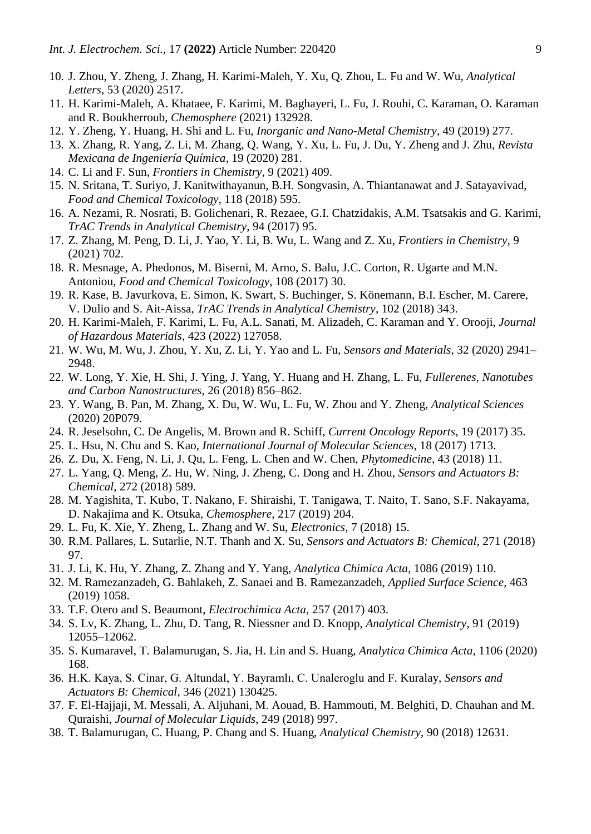- 10. J. Zhou, Y. Zheng, J. Zhang, H. Karimi-Maleh, Y. Xu, Q. Zhou, L. Fu and W. Wu, *Analytical Letters*, 53 (2020) 2517.
- 11. H. Karimi-Maleh, A. Khataee, F. Karimi, M. Baghayeri, L. Fu, J. Rouhi, C. Karaman, O. Karaman and R. Boukherroub, *Chemosphere* (2021) 132928.
- 12. Y. Zheng, Y. Huang, H. Shi and L. Fu, *Inorganic and Nano-Metal Chemistry*, 49 (2019) 277.
- 13. X. Zhang, R. Yang, Z. Li, M. Zhang, Q. Wang, Y. Xu, L. Fu, J. Du, Y. Zheng and J. Zhu, *Revista Mexicana de Ingeniería Química*, 19 (2020) 281.
- 14. C. Li and F. Sun, *Frontiers in Chemistry*, 9 (2021) 409.
- 15. N. Sritana, T. Suriyo, J. Kanitwithayanun, B.H. Songvasin, A. Thiantanawat and J. Satayavivad, *Food and Chemical Toxicology*, 118 (2018) 595.
- 16. A. Nezami, R. Nosrati, B. Golichenari, R. Rezaee, G.I. Chatzidakis, A.M. Tsatsakis and G. Karimi, *TrAC Trends in Analytical Chemistry*, 94 (2017) 95.
- 17. Z. Zhang, M. Peng, D. Li, J. Yao, Y. Li, B. Wu, L. Wang and Z. Xu, *Frontiers in Chemistry*, 9 (2021) 702.
- 18. R. Mesnage, A. Phedonos, M. Biserni, M. Arno, S. Balu, J.C. Corton, R. Ugarte and M.N. Antoniou, *Food and Chemical Toxicology*, 108 (2017) 30.
- 19. R. Kase, B. Javurkova, E. Simon, K. Swart, S. Buchinger, S. Könemann, B.I. Escher, M. Carere, V. Dulio and S. Ait-Aissa, *TrAC Trends in Analytical Chemistry*, 102 (2018) 343.
- 20. H. Karimi-Maleh, F. Karimi, L. Fu, A.L. Sanati, M. Alizadeh, C. Karaman and Y. Orooji, *Journal of Hazardous Materials*, 423 (2022) 127058.
- 21. W. Wu, M. Wu, J. Zhou, Y. Xu, Z. Li, Y. Yao and L. Fu, *Sensors and Materials*, 32 (2020) 2941– 2948.
- 22. W. Long, Y. Xie, H. Shi, J. Ying, J. Yang, Y. Huang and H. Zhang, L. Fu, *Fullerenes, Nanotubes and Carbon Nanostructures*, 26 (2018) 856–862.
- 23. Y. Wang, B. Pan, M. Zhang, X. Du, W. Wu, L. Fu, W. Zhou and Y. Zheng, *Analytical Sciences* (2020) 20P079.
- 24. R. Jeselsohn, C. De Angelis, M. Brown and R. Schiff, *Current Oncology Reports*, 19 (2017) 35.
- 25. L. Hsu, N. Chu and S. Kao, *International Journal of Molecular Sciences*, 18 (2017) 1713.
- 26. Z. Du, X. Feng, N. Li, J. Qu, L. Feng, L. Chen and W. Chen, *Phytomedicine*, 43 (2018) 11.
- 27. L. Yang, Q. Meng, Z. Hu, W. Ning, J. Zheng, C. Dong and H. Zhou, *Sensors and Actuators B: Chemical*, 272 (2018) 589.
- 28. M. Yagishita, T. Kubo, T. Nakano, F. Shiraishi, T. Tanigawa, T. Naito, T. Sano, S.F. Nakayama, D. Nakajima and K. Otsuka, *Chemosphere*, 217 (2019) 204.
- 29. L. Fu, K. Xie, Y. Zheng, L. Zhang and W. Su, *Electronics*, 7 (2018) 15.
- 30. R.M. Pallares, L. Sutarlie, N.T. Thanh and X. Su, *Sensors and Actuators B: Chemical*, 271 (2018) 97.
- 31. J. Li, K. Hu, Y. Zhang, Z. Zhang and Y. Yang, *Analytica Chimica Acta*, 1086 (2019) 110.
- 32. M. Ramezanzadeh, G. Bahlakeh, Z. Sanaei and B. Ramezanzadeh, *Applied Surface Science*, 463 (2019) 1058.
- 33. T.F. Otero and S. Beaumont, *Electrochimica Acta*, 257 (2017) 403.
- 34. S. Lv, K. Zhang, L. Zhu, D. Tang, R. Niessner and D. Knopp, *Analytical Chemistry*, 91 (2019) 12055–12062.
- 35. S. Kumaravel, T. Balamurugan, S. Jia, H. Lin and S. Huang, *Analytica Chimica Acta*, 1106 (2020) 168.
- 36. H.K. Kaya, S. Cinar, G. Altundal, Y. Bayramlı, C. Unaleroglu and F. Kuralay, *Sensors and Actuators B: Chemical*, 346 (2021) 130425.
- 37. F. El-Hajjaji, M. Messali, A. Aljuhani, M. Aouad, B. Hammouti, M. Belghiti, D. Chauhan and M. Quraishi, *Journal of Molecular Liquids*, 249 (2018) 997.
- 38. T. Balamurugan, C. Huang, P. Chang and S. Huang, *Analytical Chemistry*, 90 (2018) 12631.